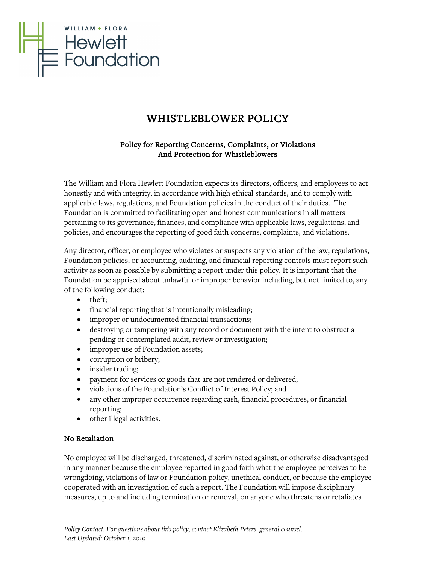

# WHISTLEBLOWER POLICY

## Policy for Reporting Concerns, Complaints, or Violations And Protection for Whistleblowers

The William and Flora Hewlett Foundation expects its directors, officers, and employees to act honestly and with integrity, in accordance with high ethical standards, and to comply with applicable laws, regulations, and Foundation policies in the conduct of their duties. The Foundation is committed to facilitating open and honest communications in all matters pertaining to its governance, finances, and compliance with applicable laws, regulations, and policies, and encourages the reporting of good faith concerns, complaints, and violations.

Any director, officer, or employee who violates or suspects any violation of the law, regulations, Foundation policies, or accounting, auditing, and financial reporting controls must report such activity as soon as possible by submitting a report under this policy. It is important that the Foundation be apprised about unlawful or improper behavior including, but not limited to, any of the following conduct:

- theft;
- financial reporting that is intentionally misleading;
- improper or undocumented financial transactions;
- destroying or tampering with any record or document with the intent to obstruct a pending or contemplated audit, review or investigation;
- improper use of Foundation assets;
- corruption or bribery;
- insider trading;
- payment for services or goods that are not rendered or delivered;
- violations of the Foundation's Conflict of Interest Policy; and
- any other improper occurrence regarding cash, financial procedures, or financial reporting;
- other illegal activities.

## No Retaliation

No employee will be discharged, threatened, discriminated against, or otherwise disadvantaged in any manner because the employee reported in good faith what the employee perceives to be wrongdoing, violations of law or Foundation policy, unethical conduct, or because the employee cooperated with an investigation of such a report. The Foundation will impose disciplinary measures, up to and including termination or removal, on anyone who threatens or retaliates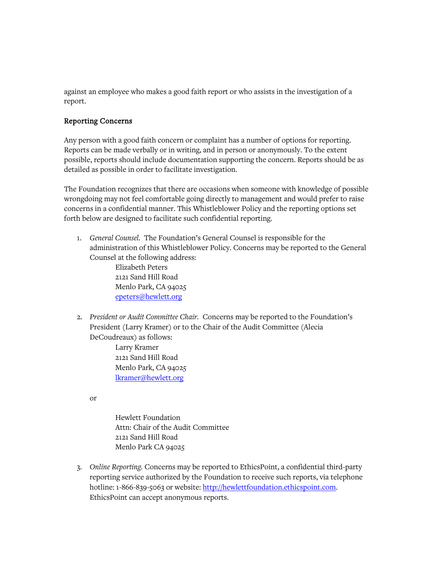against an employee who makes a good faith report or who assists in the investigation of a report.

#### Reporting Concerns

Any person with a good faith concern or complaint has a number of options for reporting. Reports can be made verbally or in writing, and in person or anonymously. To the extent possible, reports should include documentation supporting the concern. Reports should be as detailed as possible in order to facilitate investigation.

The Foundation recognizes that there are occasions when someone with knowledge of possible wrongdoing may not feel comfortable going directly to management and would prefer to raise concerns in a confidential manner. This Whistleblower Policy and the reporting options set forth below are designed to facilitate such confidential reporting.

1. *General Counsel.* The Foundation's General Counsel is responsible for the administration of this Whistleblower Policy. Concerns may be reported to the General Counsel at the following address: Elizabeth Peters

2121 Sand Hill Road Menlo Park, CA 94025 [epeters@hewlett.org](mailto:epeters@hewlett.org)

2. *President or Audit Committee Chair.* Concerns may be reported to the Foundation's President (Larry Kramer) or to the Chair of the Audit Committee (Alecia DeCoudreaux) as follows:

> Larry Kramer 2121 Sand Hill Road Menlo Park, CA 94025 [lkramer@hewlett.org](mailto:lkramer@hewlett.org)

or

Hewlett Foundation Attn: Chair of the Audit Committee 2121 Sand Hill Road Menlo Park CA 94025

3. *Online Reporting.* Concerns may be reported to EthicsPoint, a confidential third-party reporting service authorized by the Foundation to receive such reports, via telephone hotline: 1-866-839-5063 or website: [http://hewlettfoundation.ethicspoint.com.](http://hewlettfoundation.ethicspoint.com/) EthicsPoint can accept anonymous reports.